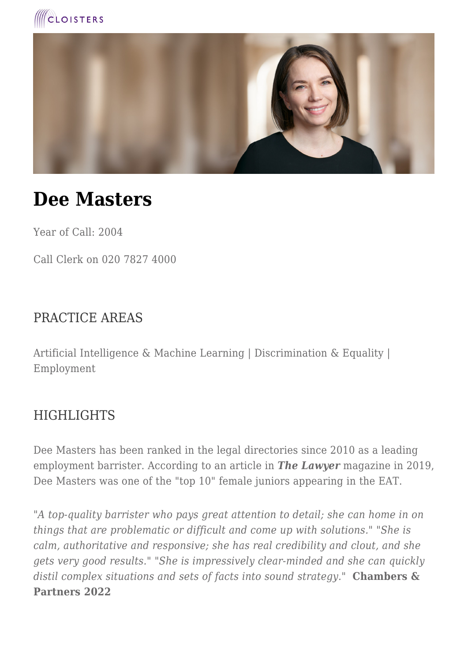



# **Dee Masters**

Year of Call: 2004

Call Clerk on 020 7827 4000

#### PRACTICE AREAS

Artificial Intelligence & Machine Learning | Discrimination & Equality | Employment

#### **HIGHLIGHTS**

Dee Masters has been ranked in the legal directories since 2010 as a leading employment barrister. According to an article in *The Lawyer* magazine in 2019, Dee Masters was one of the "top 10" female juniors appearing in the EAT.

*"A top-quality barrister who pays great attention to detail; she can home in on things that are problematic or difficult and come up with solutions." "She is calm, authoritative and responsive; she has real credibility and clout, and she gets very good results." "She is impressively clear-minded and she can quickly distil complex situations and sets of facts into sound strategy."* **Chambers & Partners 2022**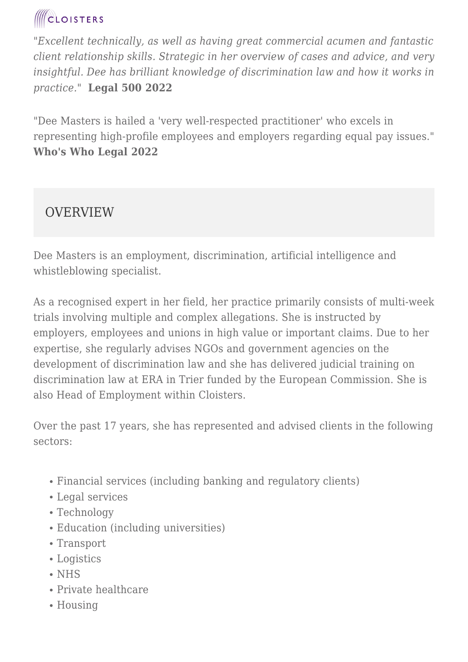*"Excellent technically, as well as having great commercial acumen and fantastic client relationship skills. Strategic in her overview of cases and advice, and very insightful. Dee has brilliant knowledge of discrimination law and how it works in practice."* **Legal 500 2022**

"Dee Masters is hailed a 'very well-respected practitioner' who excels in representing high-profile employees and employers regarding equal pay issues." **Who's Who Legal 2022**

#### **OVERVIEW**

Dee Masters is an employment, discrimination, artificial intelligence and whistleblowing specialist.

As a recognised expert in her field, her practice primarily consists of multi-week trials involving multiple and complex allegations. She is instructed by employers, employees and unions in high value or important claims. Due to her expertise, she regularly advises NGOs and government agencies on the development of discrimination law and she has delivered judicial training on discrimination law at ERA in Trier funded by the European Commission. She is also Head of Employment within Cloisters.

Over the past 17 years, she has represented and advised clients in the following sectors:

- Financial services (including banking and regulatory clients)
- Legal services
- Technology
- Education (including universities)
- Transport
- Logistics
- NHS
- Private healthcare
- Housing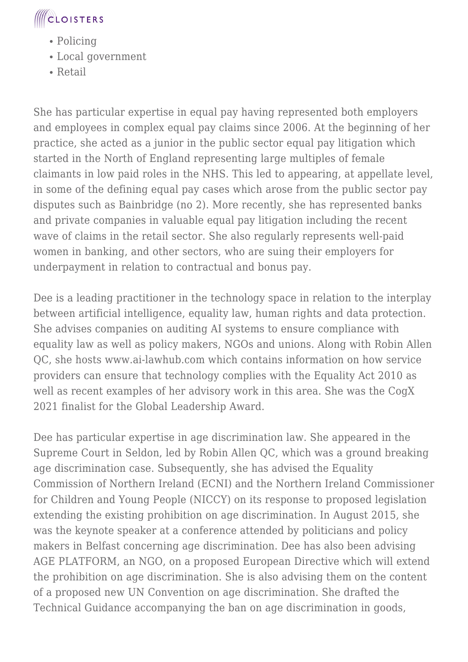

- Policing
- Local government
- Retail

She has particular expertise in equal pay having represented both employers and employees in complex equal pay claims since 2006. At the beginning of her practice, she acted as a junior in the public sector equal pay litigation which started in the North of England representing large multiples of female claimants in low paid roles in the NHS. This led to appearing, at appellate level, in some of the defining equal pay cases which arose from the public sector pay disputes such as Bainbridge (no 2). More recently, she has represented banks and private companies in valuable equal pay litigation including the recent wave of claims in the retail sector. She also regularly represents well-paid women in banking, and other sectors, who are suing their employers for underpayment in relation to contractual and bonus pay.

Dee is a leading practitioner in the technology space in relation to the interplay between artificial intelligence, equality law, human rights and data protection. She advises companies on auditing AI systems to ensure compliance with equality law as well as policy makers, NGOs and unions. Along with Robin Allen QC, she hosts www.ai-lawhub.com which contains information on how service providers can ensure that technology complies with the Equality Act 2010 as well as recent examples of her advisory work in this area. She was the CogX 2021 finalist for the Global Leadership Award.

Dee has particular expertise in age discrimination law. She appeared in the Supreme Court in Seldon, led by Robin Allen QC, which was a ground breaking age discrimination case. Subsequently, she has advised the Equality Commission of Northern Ireland (ECNI) and the Northern Ireland Commissioner for Children and Young People (NICCY) on its response to proposed legislation extending the existing prohibition on age discrimination. In August 2015, she was the keynote speaker at a conference attended by politicians and policy makers in Belfast concerning age discrimination. Dee has also been advising AGE PLATFORM, an NGO, on a proposed European Directive which will extend the prohibition on age discrimination. She is also advising them on the content of a proposed new UN Convention on age discrimination. She drafted the Technical Guidance accompanying the ban on age discrimination in goods,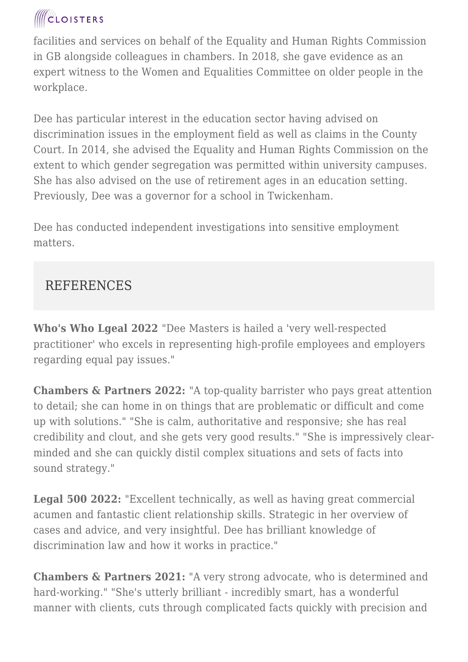facilities and services on behalf of the Equality and Human Rights Commission in GB alongside colleagues in chambers. In 2018, she gave evidence as an expert witness to the Women and Equalities Committee on older people in the workplace.

Dee has particular interest in the education sector having advised on discrimination issues in the employment field as well as claims in the County Court. In 2014, she advised the Equality and Human Rights Commission on the extent to which gender segregation was permitted within university campuses. She has also advised on the use of retirement ages in an education setting. Previously, Dee was a governor for a school in Twickenham.

Dee has conducted independent investigations into sensitive employment matters.

#### REFERENCES

**Who's Who Lgeal 2022** "Dee Masters is hailed a 'very well-respected practitioner' who excels in representing high-profile employees and employers regarding equal pay issues."

**Chambers & Partners 2022:** "A top-quality barrister who pays great attention to detail; she can home in on things that are problematic or difficult and come up with solutions." "She is calm, authoritative and responsive; she has real credibility and clout, and she gets very good results." "She is impressively clearminded and she can quickly distil complex situations and sets of facts into sound strategy."

**Legal 500 2022:** "Excellent technically, as well as having great commercial acumen and fantastic client relationship skills. Strategic in her overview of cases and advice, and very insightful. Dee has brilliant knowledge of discrimination law and how it works in practice."

**Chambers & Partners 2021:** "A very strong advocate, who is determined and hard-working." "She's utterly brilliant - incredibly smart, has a wonderful manner with clients, cuts through complicated facts quickly with precision and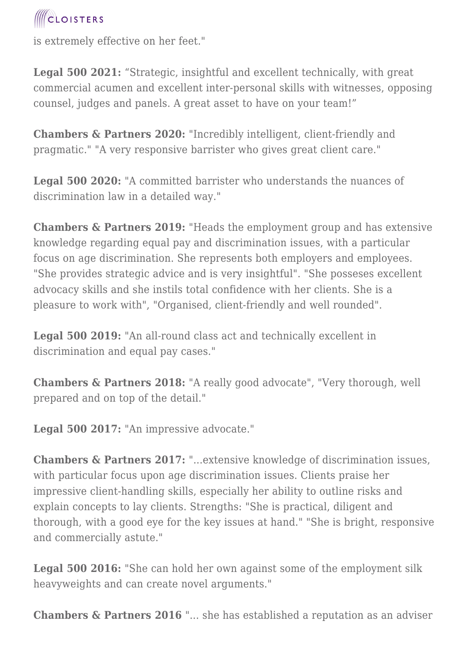is extremely effective on her feet."

**Legal 500 2021:** "Strategic, insightful and excellent technically, with great commercial acumen and excellent inter-personal skills with witnesses, opposing counsel, judges and panels. A great asset to have on your team!"

**Chambers & Partners 2020:** "Incredibly intelligent, client-friendly and pragmatic." "A very responsive barrister who gives great client care."

**Legal 500 2020:** "A committed barrister who understands the nuances of discrimination law in a detailed way."

**Chambers & Partners 2019:** "Heads the employment group and has extensive knowledge regarding equal pay and discrimination issues, with a particular focus on age discrimination. She represents both employers and employees. "She provides strategic advice and is very insightful". "She posseses excellent advocacy skills and she instils total confidence with her clients. She is a pleasure to work with", "Organised, client-friendly and well rounded".

**Legal 500 2019:** "An all-round class act and technically excellent in discrimination and equal pay cases."

**Chambers & Partners 2018:** "A really good advocate", "Very thorough, well prepared and on top of the detail."

Legal 500 2017: "An impressive advocate."

**Chambers & Partners 2017:** "...extensive knowledge of discrimination issues, with particular focus upon age discrimination issues. Clients praise her impressive client-handling skills, especially her ability to outline risks and explain concepts to lay clients. Strengths: "She is practical, diligent and thorough, with a good eye for the key issues at hand." "She is bright, responsive and commercially astute."

**Legal 500 2016:** "She can hold her own against some of the employment silk heavyweights and can create novel arguments."

**Chambers & Partners 2016** "... she has established a reputation as an adviser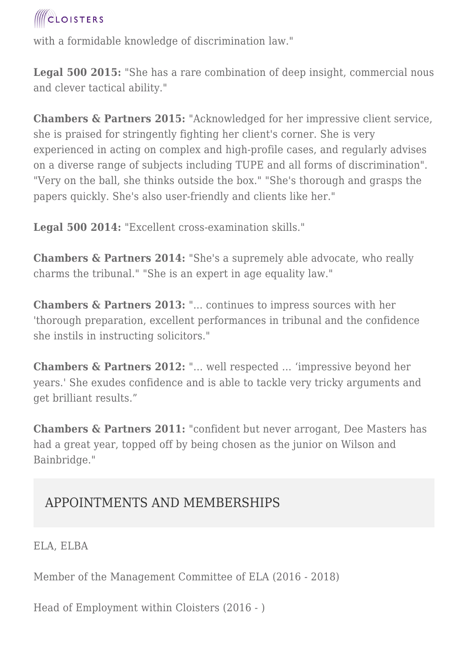with a formidable knowledge of discrimination law."

**Legal 500 2015:** "She has a rare combination of deep insight, commercial nous and clever tactical ability."

**Chambers & Partners 2015:** "Acknowledged for her impressive client service, she is praised for stringently fighting her client's corner. She is very experienced in acting on complex and high-profile cases, and regularly advises on a diverse range of subjects including TUPE and all forms of discrimination". "Very on the ball, she thinks outside the box." "She's thorough and grasps the papers quickly. She's also user-friendly and clients like her."

**Legal 500 2014:** "Excellent cross-examination skills."

**Chambers & Partners 2014:** "She's a supremely able advocate, who really charms the tribunal." "She is an expert in age equality law."

**Chambers & Partners 2013:** "... continues to impress sources with her 'thorough preparation, excellent performances in tribunal and the confidence she instils in instructing solicitors."

**Chambers & Partners 2012:** "… well respected … 'impressive beyond her years.' She exudes confidence and is able to tackle very tricky arguments and get brilliant results."

**Chambers & Partners 2011:** "confident but never arrogant, Dee Masters has had a great year, topped off by being chosen as the junior on Wilson and Bainbridge."

#### APPOINTMENTS AND MEMBERSHIPS

ELA, ELBA

Member of the Management Committee of ELA (2016 - 2018)

Head of Employment within Cloisters (2016 - )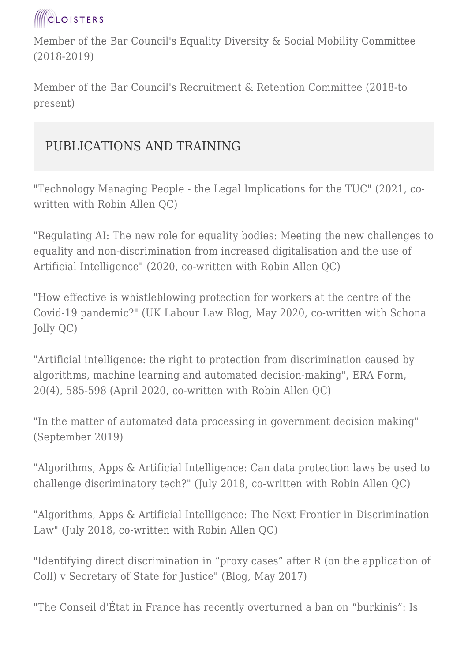

Member of the Bar Council's Equality Diversity & Social Mobility Committee (2018-2019)

Member of the Bar Council's Recruitment & Retention Committee (2018-to present)

#### PUBLICATIONS AND TRAINING

"Technology Managing People - the Legal Implications for the TUC" (2021, cowritten with Robin Allen QC)

"Regulating AI: The new role for equality bodies: Meeting the new challenges to equality and non-discrimination from increased digitalisation and the use of Artificial Intelligence" (2020, co-written with Robin Allen QC)

"How effective is whistleblowing protection for workers at the centre of the Covid-19 pandemic?" (UK Labour Law Blog, May 2020, co-written with Schona Jolly QC)

"Artificial intelligence: the right to protection from discrimination caused by algorithms, machine learning and automated decision-making", ERA Form, 20(4), 585-598 (April 2020, co-written with Robin Allen QC)

"In the matter of automated data processing in government decision making" (September 2019)

"Algorithms, Apps & Artificial Intelligence: Can data protection laws be used to challenge discriminatory tech?" (July 2018, co-written with Robin Allen QC)

"Algorithms, Apps & Artificial Intelligence: The Next Frontier in Discrimination Law" (July 2018, co-written with Robin Allen OC)

"Identifying direct discrimination in "proxy cases" after R (on the application of Coll) v Secretary of State for Justice" (Blog, May 2017)

"The Conseil d'État in France has recently overturned a ban on "burkinis": Is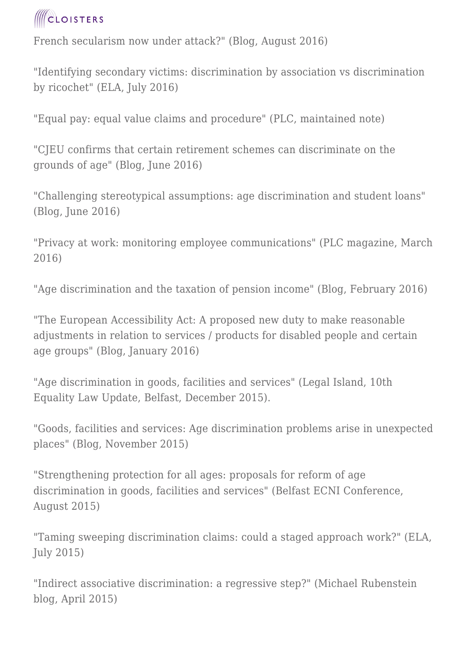

French secularism now under attack?" (Blog, August 2016)

"Identifying secondary victims: discrimination by association vs discrimination by ricochet" (ELA, July 2016)

"Equal pay: equal value claims and procedure" (PLC, maintained note)

"CJEU confirms that certain retirement schemes can discriminate on the grounds of age" (Blog, June 2016)

"Challenging stereotypical assumptions: age discrimination and student loans" (Blog, June 2016)

"Privacy at work: monitoring employee communications" (PLC magazine, March 2016)

"Age discrimination and the taxation of pension income" (Blog, February 2016)

"The European Accessibility Act: A proposed new duty to make reasonable adjustments in relation to services / products for disabled people and certain age groups" (Blog, January 2016)

"Age discrimination in goods, facilities and services" (Legal Island, 10th Equality Law Update, Belfast, December 2015).

"Goods, facilities and services: Age discrimination problems arise in unexpected places" (Blog, November 2015)

"Strengthening protection for all ages: proposals for reform of age discrimination in goods, facilities and services" (Belfast ECNI Conference, August 2015)

"Taming sweeping discrimination claims: could a staged approach work?" (ELA, July 2015)

"Indirect associative discrimination: a regressive step?" (Michael Rubenstein blog, April 2015)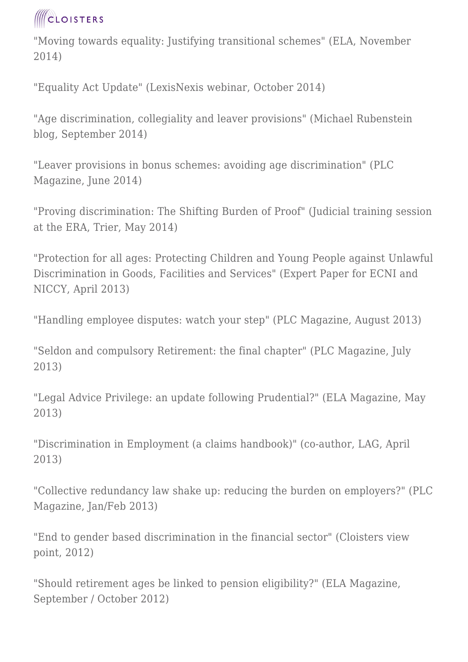"Moving towards equality: Justifying transitional schemes" (ELA, November 2014)

"Equality Act Update" (LexisNexis webinar, October 2014)

"Age discrimination, collegiality and leaver provisions" (Michael Rubenstein blog, September 2014)

"Leaver provisions in bonus schemes: avoiding age discrimination" (PLC Magazine, June 2014)

"Proving discrimination: The Shifting Burden of Proof" (Judicial training session at the ERA, Trier, May 2014)

"Protection for all ages: Protecting Children and Young People against Unlawful Discrimination in Goods, Facilities and Services" (Expert Paper for ECNI and NICCY, April 2013)

"Handling employee disputes: watch your step" (PLC Magazine, August 2013)

"Seldon and compulsory Retirement: the final chapter" (PLC Magazine, July 2013)

"Legal Advice Privilege: an update following Prudential?" (ELA Magazine, May 2013)

"Discrimination in Employment (a claims handbook)" (co-author, LAG, April 2013)

"Collective redundancy law shake up: reducing the burden on employers?" (PLC Magazine, Jan/Feb 2013)

"End to gender based discrimination in the financial sector" (Cloisters view point, 2012)

"Should retirement ages be linked to pension eligibility?" (ELA Magazine, September / October 2012)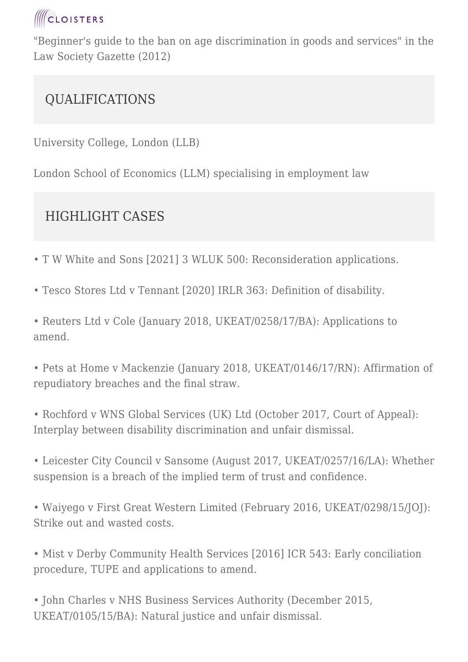

"Beginner's guide to the ban on age discrimination in goods and services" in the Law Society Gazette (2012)

#### QUALIFICATIONS

University College, London (LLB)

London School of Economics (LLM) specialising in employment law

### HIGHLIGHT CASES

- T W White and Sons [2021] 3 WLUK 500: Reconsideration applications.
- Tesco Stores Ltd v Tennant [2020] IRLR 363: Definition of disability.

• Reuters Ltd v Cole (January 2018, UKEAT/0258/17/BA): Applications to amend.

• Pets at Home v Mackenzie (January 2018, UKEAT/0146/17/RN): Affirmation of repudiatory breaches and the final straw.

• Rochford v WNS Global Services (UK) Ltd (October 2017, Court of Appeal): Interplay between disability discrimination and unfair dismissal.

• Leicester City Council v Sansome (August 2017, UKEAT/0257/16/LA): Whether suspension is a breach of the implied term of trust and confidence.

• Waiyego v First Great Western Limited (February 2016, UKEAT/0298/15/JOJ): Strike out and wasted costs.

• Mist v Derby Community Health Services [2016] ICR 543: Early conciliation procedure, TUPE and applications to amend.

• John Charles v NHS Business Services Authority (December 2015, UKEAT/0105/15/BA): Natural justice and unfair dismissal.